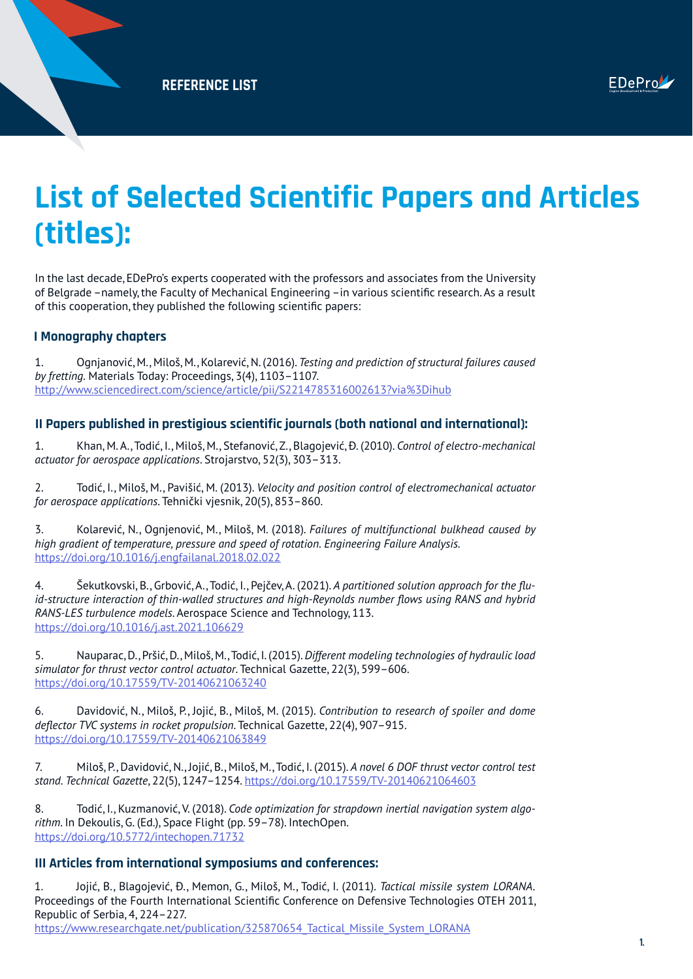# **List of Selected Scientific Papers and Articles (titles):**

In the last decade, EDePro's experts cooperated with the professors and associates from the University of Belgrade –namely, the Faculty of Mechanical Engineering –in various scientific research. As a result of this cooperation, they published the following scientific papers:

#### **I Monography chapters**

1. Ognjanović, M., Miloš, M., Kolarević, N. (2016). *Testing and prediction of structural failures caused by fretting.* Materials Today: Proceedings, 3(4), 1103–1107. <http://www.sciencedirect.com/science/article/pii/S2214785316002613?via%3Dihub>

## **II Papers published in prestigious scientific journals (both national and international):**

1. Khan, M. A., Todić, I., Miloš, M., Stefanović, Z., Blagojević, Đ. (2010). *Control of electro-mechanical actuator for aerospace applications*. Strojarstvo, 52(3), 303–313.

2. Todić, I., Miloš, M., Pavišić, M. (2013). *Velocity and position control of electromechanical actuator for aerospace applications*. Tehnički vjesnik, 20(5), 853–860.

3. Kolarević, N., Ognjenović, M., Miloš, M. (2018). *Failures of multifunctional bulkhead caused by high gradient of temperature, pressure and speed of rotation. Engineering Failure Analysis.*  <https://doi.org/10.1016/j.engfailanal.2018.02.022>

4. Šekutkovski, B., Grbović, A., Todić, I., Pejčev, A. (2021). *A partitioned solution approach for the fluid-structure interaction of thin-walled structures and high-Reynolds number flows using RANS and hybrid RANS-LES turbulence models*. Aerospace Science and Technology, 113. <https://doi.org/10.1016/j.ast.2021.106629>

5. Nauparac, D., Pršić, D., Miloš, M., Todić, I. (2015). *Different modeling technologies of hydraulic load simulator for thrust vector control actuator*. Technical Gazette, 22(3), 599–606. <https://doi.org/10.17559/TV-20140621063240>

6. Davidović, N., Miloš, P., Jojić, B., Miloš, M. (2015). *Contribution to research of spoiler and dome deflector TVC systems in rocket propulsion*. Technical Gazette, 22(4), 907–915. <https://doi.org/10.17559/TV-20140621063849>

7. Miloš, P., Davidović, N., Jojić, B., Miloš, M., Todić, I. (2015). *A novel 6 DOF thrust vector control test stand. Technical Gazette*, 22(5), 1247–1254.<https://doi.org/10.17559/TV-20140621064603>

8. Todić, I., Kuzmanović, V. (2018). *Code optimization for strapdown inertial navigation system algo*rithm. In Dekoulis, G. (Ed.), Space Flight (pp. 59–78). IntechOpen. <https://doi.org/10.5772/intechopen.71732>

## **III Articles from international symposiums and conferences:**

1. Jojić, B., Blagojević, Đ., Memon, G., Miloš, M., Todić, I. (2011). *Tactical missile system LORANA.* Proceedings of the Fourth International Scientific Conference on Defensive Technologies OTEH 2011, Republic of Serbia, 4, 224–227.

https://www.researchgate.net/publication/325870654\_Tactical\_Missile\_System\_LORANA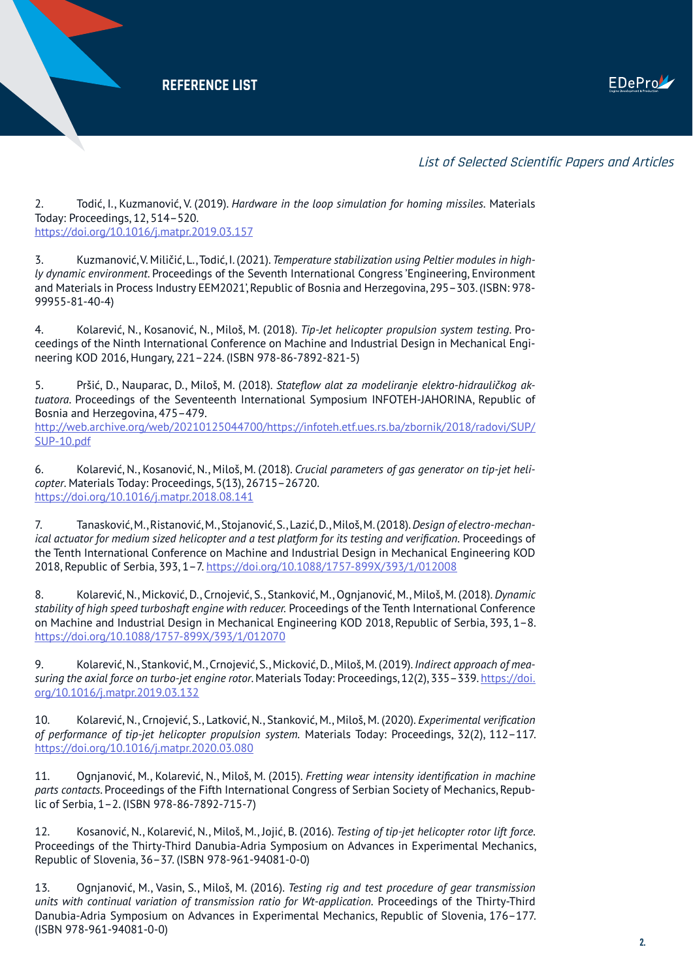

List of Selected Scientific Papers and Articles

2. Todić, I., Kuzmanović, V. (2019). *Hardware in the loop simulation for homing missiles.* Materials Today: Proceedings, 12, 514–520. <https://doi.org/10.1016/j.matpr.2019.03.157>

3. Kuzmanović, V. Miličić, L., Todić, I. (2021). *Temperature stabilization using Peltier modules in highly dynamic environment*. Proceedings of the Seventh International Congress 'Engineering, Environment and Materials in Process Industry EEM2021', Republic of Bosnia and Herzegovina, 295–303. (ISBN: 978- 99955-81-40-4)

4. Kolarević, N., Kosanović, N., Miloš, M. (2018). *Tip-Jet helicopter propulsion system testing*. Proceedings of the Ninth International Conference on Machine and Industrial Design in Mechanical Engineering KOD 2016, Hungary, 221–224. (ISBN 978-86-7892-821-5)

5. Pršić, D., Nauparac, D., Miloš, M. (2018). *Stateflow alat za modeliranje elektro-hidrauličkog aktuatora*. Proceedings of the Seventeenth International Symposium INFOTEH-JAHORINA, Republic of Bosnia and Herzegovina, 475–479. http://web.archive.org/web/20210125044700/https://infoteh.etf.ues.rs.ba/zbornik/2018/radovi/SUP/ SUP-10.pdf

6. Kolarević, N., Kosanović, N., Miloš, M. (2018). *Crucial parameters of gas generator on tip-jet helicopter*. Materials Today: Proceedings, 5(13), 26715–26720. <https://doi.org/10.1016/j.matpr.2018.08.141>

7. Tanasković, M., Ristanović, M., Stojanović, S., Lazić, D., Miloš, M. (2018). *Design of electro-mechanical actuator for medium sized helicopter and a test platform for its testing and verification.* Proceedings of the Tenth International Conference on Machine and Industrial Design in Mechanical Engineering KOD 2018, Republic of Serbia, 393, 1–7. [https://doi.org/10.1088/1757-899X/393/1/012008](https://doi.org/10.1088/1757-899X/393/1/012008 )

8. Kolarević, N., Micković, D., Crnojević, S., Stanković, M., Ognjanović, M., Miloš, M. (2018). *Dynamic stability of high speed turboshaft engine with reducer.* Proceedings of the Tenth International Conference on Machine and Industrial Design in Mechanical Engineering KOD 2018, Republic of Serbia, 393, 1–8. <https://doi.org/10.1088/1757-899X/393/1/012070>

9. Kolarević, N., Stanković, M., Crnojević, S., Micković, D., Miloš, M. (2019). *Indirect approach of measuring the axial force on turbo-jet engine rotor*. Materials Today: Proceedings, 12(2), 335–339. [https://doi.](https://doi.org/10.1016/j.matpr.2019.03.132) [org/10.1016/j.matpr.2019.03.132](https://doi.org/10.1016/j.matpr.2019.03.132)

10. Kolarević, N., Crnojević, S., Latković, N., Stanković, M., Miloš, M. (2020). *Experimental verification of performance of tip-jet helicopter propulsion system.* Materials Today: Proceedings, 32(2), 112–117. <https://doi.org/10.1016/j.matpr.2020.03.080>

11. Ognjanović, M., Kolarević, N., Miloš, M. (2015). *Fretting wear intensity identification in machine parts contacts*. Proceedings of the Fifth International Congress of Serbian Society of Mechanics, Republic of Serbia, 1–2. (ISBN 978-86-7892-715-7)

12. Kosanović, N., Kolarević, N., Miloš, M., Jojić, B. (2016). *Testing of tip-jet helicopter rotor lift force.*  Proceedings of the Thirty-Third Danubia-Adria Symposium on Advances in Experimental Mechanics, Republic of Slovenia, 36–37. (ISBN 978-961-94081-0-0)

13. Ognjanović, M., Vasin, S., Miloš, M. (2016). *Testing rig and test procedure of gear transmission units with continual variation of transmission ratio for Wt-application.* Proceedings of the Thirty-Third Danubia-Adria Symposium on Advances in Experimental Mechanics, Republic of Slovenia, 176–177. (ISBN 978-961-94081-0-0)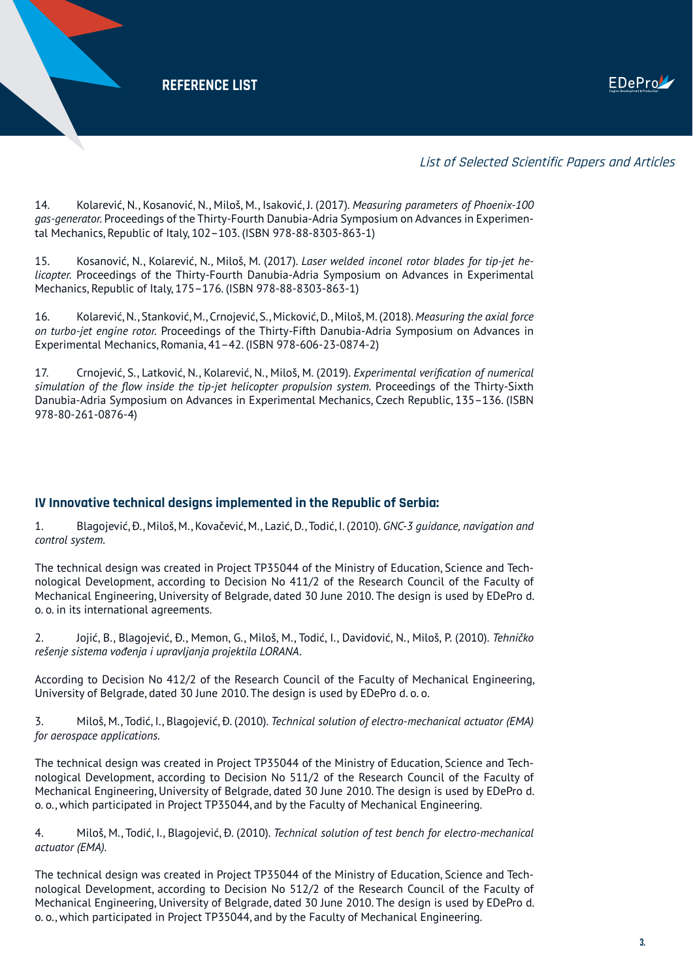

#### List of Selected Scientific Papers and Articles

14. Kolarević, N., Kosanović, N., Miloš, M., Isaković, J. (2017). *Measuring parameters of Phoenix-100 gas-generator.* Proceedings of the Thirty-Fourth Danubia-Adria Symposium on Advances in Experimental Mechanics, Republic of Italy, 102–103. (ISBN 978-88-8303-863-1)

15. Kosanović, N., Kolarević, N., Miloš, M. (2017). *Laser welded inconel rotor blades for tip-jet helicopter.* Proceedings of the Thirty-Fourth Danubia-Adria Symposium on Advances in Experimental Mechanics, Republic of Italy, 175–176. (ISBN 978-88-8303-863-1)

16. Kolarević, N., Stanković, M., Crnojević, S., Micković, D., Miloš, M. (2018). *Measuring the axial force on turbo-jet engine rotor.* Proceedings of the Thirty-Fifth Danubia-Adria Symposium on Advances in Experimental Mechanics, Romania, 41–42. (ISBN 978-606-23-0874-2)

17. Crnojević, S., Latković, N., Kolarević, N., Miloš, M. (2019). *Experimental verification of numerical simulation of the flow inside the tip-jet helicopter propulsion system.* Proceedings of the Thirty-Sixth Danubia-Adria Symposium on Advances in Experimental Mechanics, Czech Republic, 135–136. (ISBN 978-80-261-0876-4)

#### **IV Innovative technical designs implemented in the Republic of Serbia:**

1. Blagojević, Đ., Miloš, M., Kovačević, M., Lazić, D., Todić, I. (2010). *GNC-3 guidance, navigation and control system.*

The technical design was created in Project TP35044 of the Ministry of Education, Science and Technological Development, according to Decision No 411/2 of the Research Council of the Faculty of Mechanical Engineering, University of Belgrade, dated 30 June 2010. The design is used by EDePro d. o. o. in its international agreements.

2. Jojić, B., Blagojević, Đ., Memon, G., Miloš, M., Todić, I., Davidović, N., Miloš, P. (2010). *Tehničko rešenje sistema vođenja i upravljanja projektila LORANA.*

According to Decision No 412/2 of the Research Council of the Faculty of Mechanical Engineering, University of Belgrade, dated 30 June 2010. The design is used by EDePro d. o. o.

3. Miloš, M., Todić, I., Blagojević, Đ. (2010). *Technical solution of electro-mechanical actuator (EMA) for aerospace applications.*

The technical design was created in Project TP35044 of the Ministry of Education, Science and Technological Development, according to Decision No 511/2 of the Research Council of the Faculty of Mechanical Engineering, University of Belgrade, dated 30 June 2010. The design is used by EDePro d. o. o., which participated in Project TP35044, and by the Faculty of Mechanical Engineering.

4. Miloš, M., Todić, I., Blagojević, Đ. (2010). *Technical solution of test bench for electro-mechanical actuator (EMA).*

The technical design was created in Project TP35044 of the Ministry of Education, Science and Technological Development, according to Decision No 512/2 of the Research Council of the Faculty of Mechanical Engineering, University of Belgrade, dated 30 June 2010. The design is used by EDePro d. o. o., which participated in Project TP35044, and by the Faculty of Mechanical Engineering.